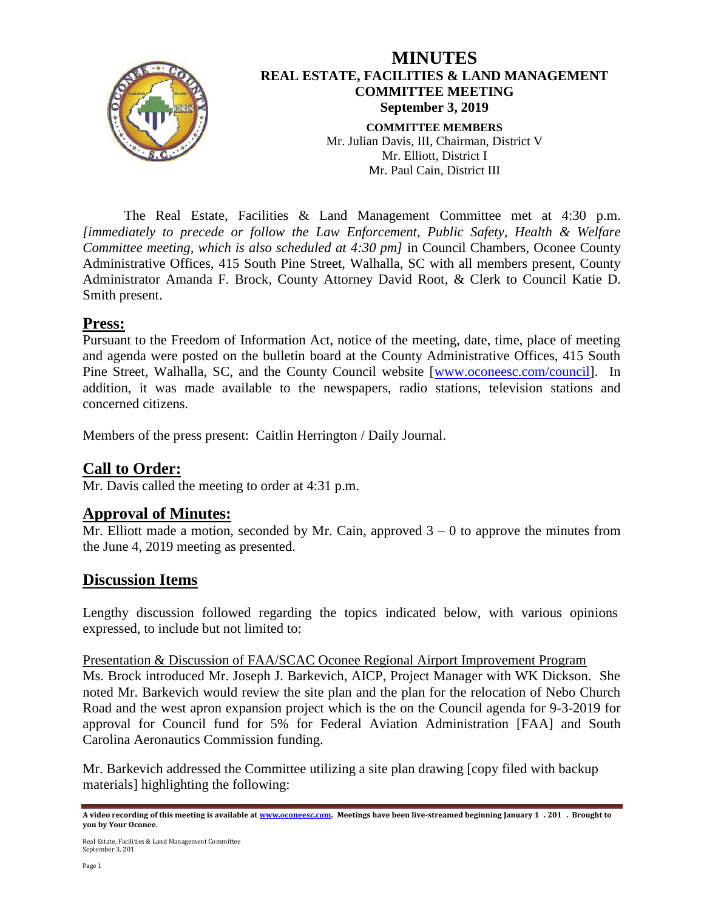

The Real Estate, Facilities & Land Management Committee met at 4:30 p.m. *[immediately to precede or follow the Law Enforcement, Public Safety, Health & Welfare Committee meeting, which is also scheduled at 4:30 pm]* in Council Chambers, Oconee County Administrative Offices, 415 South Pine Street, Walhalla, SC with all members present, County Administrator Amanda F. Brock, County Attorney David Root, & Clerk to Council Katie D. Smith present.

#### **Press:**

Pursuant to the Freedom of Information Act, notice of the meeting, date, time, place of meeting and agenda were posted on the bulletin board at the County Administrative Offices, 415 South Pine Street, Walhalla, SC, and the County Council website [\[www.oconeesc.com/council\]](http://www.oconeesc.com/council). In addition, it was made available to the newspapers, radio stations, television stations and concerned citizens.

Members of the press present: Caitlin Herrington / Daily Journal.

### **Call to Order:**

Mr. Davis called the meeting to order at 4:31 p.m.

### **Approval of Minutes:**

Mr. Elliott made a motion, seconded by Mr. Cain, approved  $3 - 0$  to approve the minutes from the June 4, 2019 meeting as presented.

### **Discussion Items**

Lengthy discussion followed regarding the topics indicated below, with various opinions expressed, to include but not limited to:

Presentation & Discussion of FAA/SCAC Oconee Regional Airport Improvement Program Ms. Brock introduced Mr. Joseph J. Barkevich, AICP, Project Manager with WK Dickson. She noted Mr. Barkevich would review the site plan and the plan for the relocation of Nebo Church Road and the west apron expansion project which is the on the Council agenda for 9-3-2019 for approval for Council fund for 5% for Federal Aviation Administration [FAA] and South Carolina Aeronautics Commission funding.

Mr. Barkevich addressed the Committee utilizing a site plan drawing [copy filed with backup materials] highlighting the following:

**A video recording of this meeting is available a[t www.oconeesc.com.](http://www.oconeesc.com/) Meetings have been live-streamed beginning January 17. 2017. Brought to you by Your Oconee.**